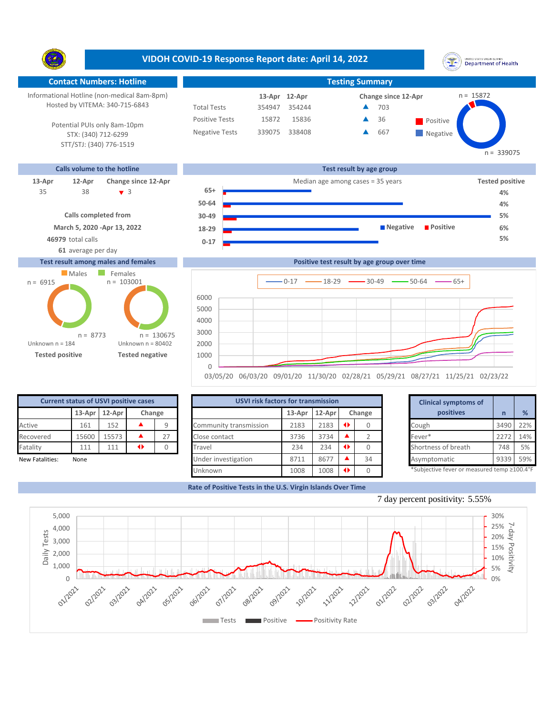**VIDOH COVID-19 Response Report date: April 14, 2022** UNITED STATES VIRGIN SLANDS<br>Department of Health Y. **Contact Numbers: Hotline Testing Summary** Informational Hotline (non-medical 8am-8pm) n = 15872 **12-Apr 13-Apr Change since 12-Apr** Hosted by VITEMA: 340-715-6843 Total Tests 354947 354244 703 ▲ Positive Tests 15872 15836  $\triangle$  36 Positive  $\blacktriangle$ 36 Potential PUIs only 8am-10pm Negative Tests 339075 338408 667 ▲ **Negative** STX: (340) 712-6299 STT/STJ: (340) 776-1519  $n = 339075$ **Calls volume to the hotline Test result by age group 13-Apr 12-Apr Change since 12-Apr** Median age among cases = 35 years **Tested positive 65+** 38 3 35 **4% 50-64 4% Calls completed from 30-49 5% March 5, 2020 -Apr 13, 2022 Negative Positive 6% 18-29 46979** total calls **5% 0-17 61** average per day **Test result among males and females Positive test result by age group over time Males** Females  $n = 103001$ n = 6915  $0-17$   $\longrightarrow$  18-29  $\longrightarrow$  30-49  $\longrightarrow$  50-64  $\longrightarrow$  65+ **Confirmed cases** 6000

Unknown n = 184 **Tested positive Tested negative** Unknown n = 80402 n = 8773 1000 2000 3000 4000 5000 n = 130675

None

| <b>USVI risk factors for transmission</b> | <b>Clinical symptoms of</b> |        |                 |    |                             |
|-------------------------------------------|-----------------------------|--------|-----------------|----|-----------------------------|
|                                           | 13-Apr                      | 12-Apr | Change          |    | positives                   |
| Community transmission                    | 2183                        | 2183   | $\blacklozenge$ |    | Cough                       |
| Close contact                             | 3736                        | 3734   |                 |    | Fever*                      |
| Travel                                    | 234                         | 234    | $\blacklozenge$ |    | Shortness of breath         |
| Under investigation                       | 8711                        | 8677   |                 | 34 | Asymptomatic                |
| Unknown                                   | 1008                        | 1008   | ◆               |    | *Subjective fever or measur |

|        | for transmission |      |        | <b>Clinical symptoms of</b>                                    |      |     |
|--------|------------------|------|--------|----------------------------------------------------------------|------|-----|
| 13-Apr | 12-Apr           |      | Change | positives                                                      |      | %   |
| 2183   | 2183             | ◆    | 0      | Cough                                                          | 3490 | 22% |
| 3736   | 3734             |      | 2      | Fever*                                                         | 2272 | 14% |
| 234    | 234              | ◆    | 0      | Shortness of breath                                            | 748  | 5%  |
| 8711   | 8677             |      | 34     | Asymptomatic                                                   | 9339 | 59% |
| 1000   | 1000             | 48.1 | $\sim$ | $*$ Cubiastiva fovor ar mosqurad tamp $\geq$ 100 $1^{\circ}$ F |      |     |

biective fever or measured temp ≥10